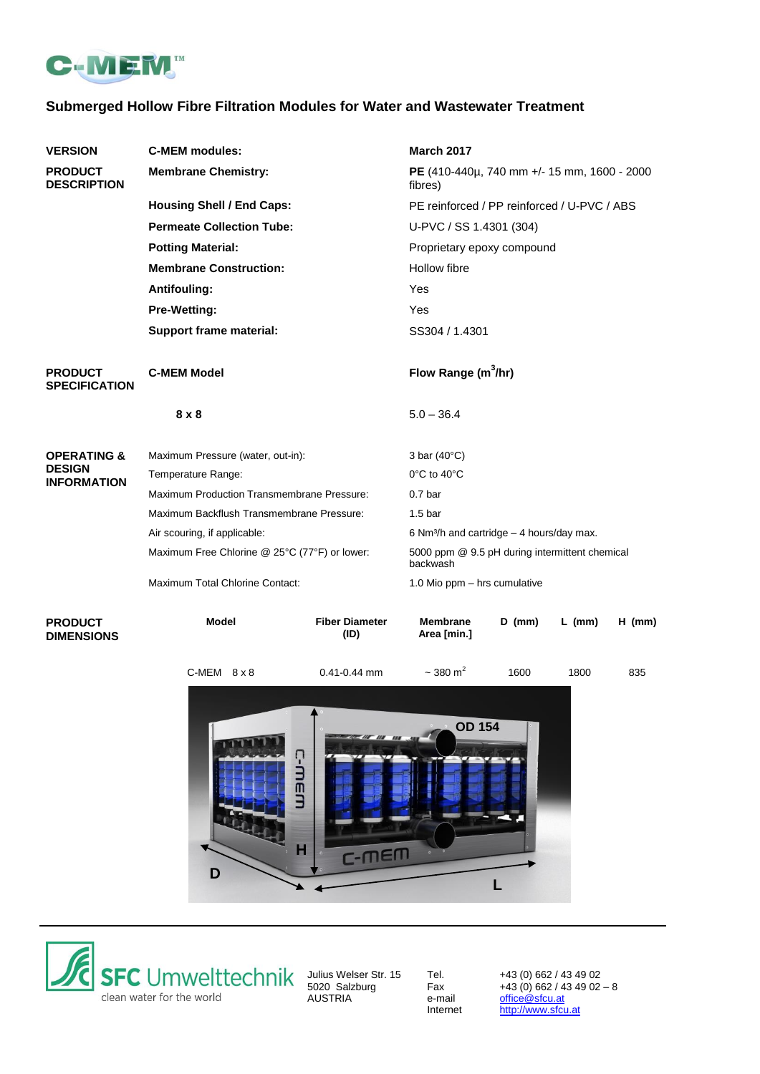

# **Submerged Hollow Fibre Filtration Modules for Water and Wastewater Treatment**

| <b>VERSION</b>                       | <b>C-MEM modules:</b>                                     |                               | <b>March 2017</b>                                          |                       |          |          |
|--------------------------------------|-----------------------------------------------------------|-------------------------------|------------------------------------------------------------|-----------------------|----------|----------|
| <b>PRODUCT</b><br><b>DESCRIPTION</b> | <b>Membrane Chemistry:</b>                                |                               | PE (410-440µ, 740 mm +/- 15 mm, 1600 - 2000<br>fibres)     |                       |          |          |
|                                      | <b>Housing Shell / End Caps:</b>                          |                               | PE reinforced / PP reinforced / U-PVC / ABS                |                       |          |          |
|                                      | <b>Permeate Collection Tube:</b>                          |                               | U-PVC / SS 1.4301 (304)                                    |                       |          |          |
|                                      | <b>Potting Material:</b><br><b>Membrane Construction:</b> |                               | Proprietary epoxy compound<br>Hollow fibre                 |                       |          |          |
|                                      |                                                           |                               |                                                            |                       |          |          |
|                                      | <b>Pre-Wetting:</b>                                       |                               | Yes                                                        |                       |          |          |
|                                      | <b>Support frame material:</b>                            | SS304 / 1.4301                |                                                            |                       |          |          |
|                                      | <b>PRODUCT</b><br><b>SPECIFICATION</b>                    | <b>C-MEM Model</b>            |                                                            | Flow Range $(m^3/hr)$ |          |          |
|                                      | $8 \times 8$                                              |                               | $5.0 - 36.4$                                               |                       |          |          |
| <b>OPERATING &amp;</b>               | Maximum Pressure (water, out-in):                         |                               | 3 bar $(40^{\circ}C)$                                      |                       |          |          |
| <b>DESIGN</b><br><b>INFORMATION</b>  | Temperature Range:                                        |                               | $0^{\circ}$ C to 40 $^{\circ}$ C                           |                       |          |          |
|                                      | <b>Maximum Production Transmembrane Pressure:</b>         |                               | 0.7 <sub>bar</sub>                                         |                       |          |          |
|                                      | Maximum Backflush Transmembrane Pressure:                 |                               | 1.5 <sub>bar</sub>                                         |                       |          |          |
|                                      | Air scouring, if applicable:                              |                               | 6 Nm <sup>3</sup> /h and cartridge $-$ 4 hours/day max.    |                       |          |          |
|                                      | Maximum Free Chlorine @ 25°C (77°F) or lower:             |                               | 5000 ppm @ 9.5 pH during intermittent chemical<br>backwash |                       |          |          |
|                                      | Maximum Total Chlorine Contact:                           |                               | 1.0 Mio ppm - hrs cumulative                               |                       |          |          |
| <b>PRODUCT</b><br><b>DIMENSIONS</b>  | <b>Model</b>                                              | <b>Fiber Diameter</b><br>(ID) | <b>Membrane</b><br>Area [min.]                             | $D$ (mm)              | $L$ (mm) | $H$ (mm) |

C-MEM 8 x 8 0.41-0.44 mm 1600 1800 835  $\sim$  380 m<sup>2</sup> **OD 154**C-mem **H**  $C-<sub>TE</sub>$ **D L**



Unius Welser Str. 15<br>
5020 Salzburg<br>
AUSTRIA<br>
Has a the mail [office@sfcu.at](mailto:office@sfcu.at)<br>
Internet http://www.sfcu

Julius Welser Str. 15 Tel. +43 (0) 662 / 43 49 02 5020 Salzburg Fax +43 (0) 662 / 43 49 02 – 8 [http://www.sfcu.at](http://www.sfcu.at/)